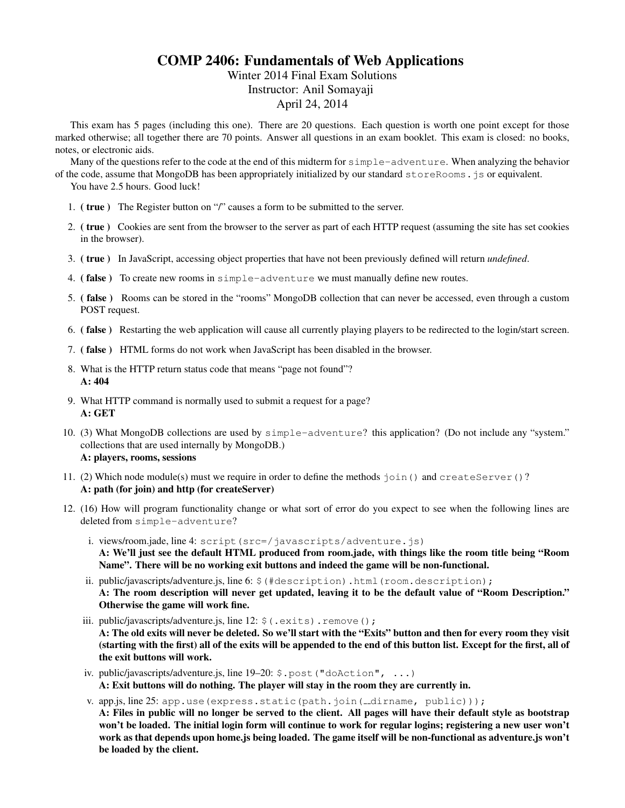# COMP 2406: Fundamentals of Web Applications

# Winter 2014 Final Exam Solutions Instructor: Anil Somayaji April 24, 2014

This exam has 5 pages (including this one). There are 20 questions. Each question is worth one point except for those marked otherwise; all together there are 70 points. Answer all questions in an exam booklet. This exam is closed: no books, notes, or electronic aids.

Many of the questions refer to the code at the end of this midterm for simple-adventure. When analyzing the behavior of the code, assume that MongoDB has been appropriately initialized by our standard storeRooms.js or equivalent.

You have 2.5 hours. Good luck!

- 1. ( true ) The Register button on "/" causes a form to be submitted to the server.
- 2. ( true ) Cookies are sent from the browser to the server as part of each HTTP request (assuming the site has set cookies in the browser).
- 3. ( true ) In JavaScript, accessing object properties that have not been previously defined will return *undefined*.
- 4. (false) To create new rooms in simple-adventure we must manually define new routes.
- 5. ( false ) Rooms can be stored in the "rooms" MongoDB collection that can never be accessed, even through a custom POST request.
- 6. ( false ) Restarting the web application will cause all currently playing players to be redirected to the login/start screen.
- 7. ( false ) HTML forms do not work when JavaScript has been disabled in the browser.
- 8. What is the HTTP return status code that means "page not found"? A: 404
- 9. What HTTP command is normally used to submit a request for a page? A: GET
- 10. (3) What MongoDB collections are used by simple-adventure? this application? (Do not include any "system." collections that are used internally by MongoDB.) A: players, rooms, sessions
- 11. (2) Which node module(s) must we require in order to define the methods join() and createServer()? A: path (for join) and http (for createServer)
- 12. (16) How will program functionality change or what sort of error do you expect to see when the following lines are deleted from simple-adventure?
	- i. views/room.jade, line 4: script(src=/javascripts/adventure.js) A: We'll just see the default HTML produced from room.jade, with things like the room title being "Room Name". There will be no working exit buttons and indeed the game will be non-functional.
	- ii. public/javascripts/adventure.js, line 6: \$ (#description).html(room.description); A: The room description will never get updated, leaving it to be the default value of "Room Description." Otherwise the game will work fine.
	- iii. public/javascripts/adventure.js, line 12: \$ (.exits).remove(); A: The old exits will never be deleted. So we'll start with the "Exits" button and then for every room they visit (starting with the first) all of the exits will be appended to the end of this button list. Except for the first, all of the exit buttons will work.
	- iv. public/javascripts/adventure.js, line 19-20: \$.post("doAction", ...) A: Exit buttons will do nothing. The player will stay in the room they are currently in.
	- v. app.js, line 25: app.use(express.static(path.join( \_\_dirname, public)));

A: Files in public will no longer be served to the client. All pages will have their default style as bootstrap won't be loaded. The initial login form will continue to work for regular logins; registering a new user won't work as that depends upon home.js being loaded. The game itself will be non-functional as adventure.js won't be loaded by the client.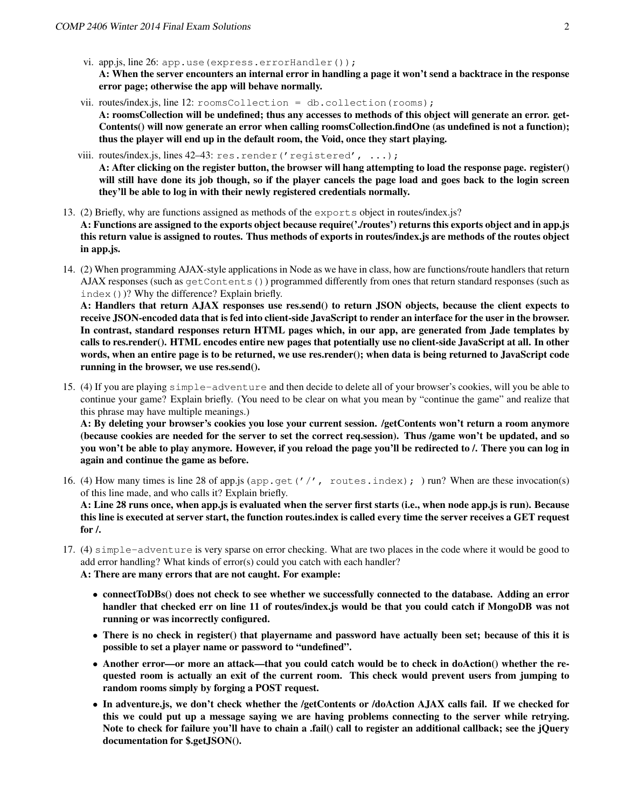vi. app.js, line  $26$ : app.use (express.errorHandler());

A: When the server encounters an internal error in handling a page it won't send a backtrace in the response error page; otherwise the app will behave normally.

- vii. routes/index.js, line 12:  $r$ oomsCollection = db.collection(rooms); A: roomsCollection will be undefined; thus any accesses to methods of this object will generate an error. get-Contents() will now generate an error when calling roomsCollection.findOne (as undefined is not a function); thus the player will end up in the default room, the Void, once they start playing.
- viii. routes/index.js, lines 42-43: res.render('registered', ...);

A: After clicking on the register button, the browser will hang attempting to load the response page. register() will still have done its job though, so if the player cancels the page load and goes back to the login screen they'll be able to log in with their newly registered credentials normally.

- 13. (2) Briefly, why are functions assigned as methods of the exports object in routes/index.js? A: Functions are assigned to the exports object because require('./routes') returns this exports object and in app.js this return value is assigned to routes. Thus methods of exports in routes/index.js are methods of the routes object in app.js.
- 14. (2) When programming AJAX-style applications in Node as we have in class, how are functions/route handlers that return AJAX responses (such as getContents()) programmed differently from ones that return standard responses (such as index())? Why the difference? Explain briefly.

A: Handlers that return AJAX responses use res.send() to return JSON objects, because the client expects to receive JSON-encoded data that is fed into client-side JavaScript to render an interface for the user in the browser. In contrast, standard responses return HTML pages which, in our app, are generated from Jade templates by calls to res.render(). HTML encodes entire new pages that potentially use no client-side JavaScript at all. In other words, when an entire page is to be returned, we use res.render(); when data is being returned to JavaScript code running in the browser, we use res.send().

15. (4) If you are playing simple-adventure and then decide to delete all of your browser's cookies, will you be able to continue your game? Explain briefly. (You need to be clear on what you mean by "continue the game" and realize that this phrase may have multiple meanings.)

A: By deleting your browser's cookies you lose your current session. /getContents won't return a room anymore (because cookies are needed for the server to set the correct req.session). Thus /game won't be updated, and so you won't be able to play anymore. However, if you reload the page you'll be redirected to /. There you can log in again and continue the game as before.

16. (4) How many times is line 28 of app.js (app.get ('/', routes.index); ) run? When are these invocation(s) of this line made, and who calls it? Explain briefly.

A: Line 28 runs once, when app.js is evaluated when the server first starts (i.e., when node app.js is run). Because this line is executed at server start, the function routes.index is called every time the server receives a GET request for /.

17. (4) simple-adventure is very sparse on error checking. What are two places in the code where it would be good to add error handling? What kinds of error(s) could you catch with each handler?

A: There are many errors that are not caught. For example:

- connectToDBs() does not check to see whether we successfully connected to the database. Adding an error handler that checked err on line 11 of routes/index.js would be that you could catch if MongoDB was not running or was incorrectly configured.
- There is no check in register() that playername and password have actually been set; because of this it is possible to set a player name or password to "undefined".
- Another error—or more an attack—that you could catch would be to check in doAction() whether the requested room is actually an exit of the current room. This check would prevent users from jumping to random rooms simply by forging a POST request.
- In adventure.js, we don't check whether the /getContents or /doAction AJAX calls fail. If we checked for this we could put up a message saying we are having problems connecting to the server while retrying. Note to check for failure you'll have to chain a .fail() call to register an additional callback; see the jQuery documentation for \$.getJSON().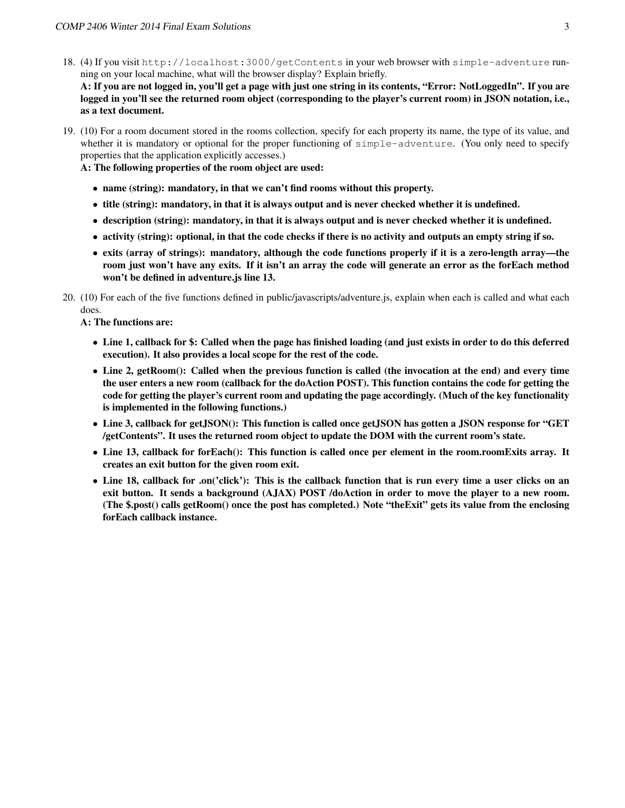18. (4) If you visit http://localhost:3000/getContents in your web browser with simple-adventure running on your local machine, what will the browser display? Explain briefly.

A: If you are not logged in, you'll get a page with just one string in its contents, "Error: NotLoggedIn". If you are logged in you'll see the returned room object (corresponding to the player's current room) in JSON notation, i.e., as a text document.

19. (10) For a room document stored in the rooms collection, specify for each property its name, the type of its value, and whether it is mandatory or optional for the proper functioning of simple-adventure. (You only need to specify properties that the application explicitly accesses.)

A: The following properties of the room object are used:

- name (string): mandatory, in that we can't find rooms without this property.
- title (string): mandatory, in that it is always output and is never checked whether it is undefined.
- description (string): mandatory, in that it is always output and is never checked whether it is undefined.
- activity (string): optional, in that the code checks if there is no activity and outputs an empty string if so.
- exits (array of strings): mandatory, although the code functions properly if it is a zero-length array—the room just won't have any exits. If it isn't an array the code will generate an error as the forEach method won't be defined in adventure.js line 13.
- 20. (10) For each of the five functions defined in public/javascripts/adventure.js, explain when each is called and what each does.

A: The functions are:

- Line 1, callback for \$: Called when the page has finished loading (and just exists in order to do this deferred execution). It also provides a local scope for the rest of the code.
- Line 2, getRoom(): Called when the previous function is called (the invocation at the end) and every time the user enters a new room (callback for the doAction POST). This function contains the code for getting the code for getting the player's current room and updating the page accordingly. (Much of the key functionality is implemented in the following functions.)
- Line 3, callback for getJSON(): This function is called once getJSON has gotten a JSON response for "GET /getContents". It uses the returned room object to update the DOM with the current room's state.
- Line 13, callback for forEach(): This function is called once per element in the room.roomExits array. It creates an exit button for the given room exit.
- Line 18, callback for .on('click'): This is the callback function that is run every time a user clicks on an exit button. It sends a background (AJAX) POST /doAction in order to move the player to a new room. (The \$.post() calls getRoom() once the post has completed.) Note "theExit" gets its value from the enclosing forEach callback instance.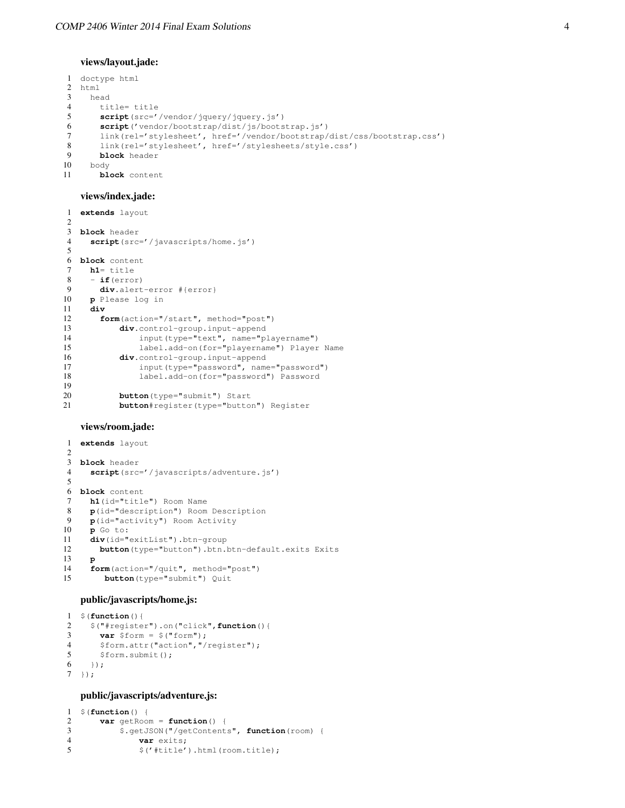#### views/layout.jade:

```
1 doctype html
2 html
3 head
4 title= title<br>5 script(src='
       5 script(src='/vendor/jquery/jquery.js')
6 script('vendor/bootstrap/dist/js/bootstrap.js')
7 link(rel='stylesheet', href='/vendor/bootstrap/dist/css/bootstrap.css')
8 link(rel='stylesheet', href='/stylesheets/style.css')
9 block header
    10 body
11 block content
```
## views/index.jade:

```
1 extends layout
2
3 block header
4 script(src='/javascripts/home.js')
5
6 block content
7 h1= title<br>8 - if(erro
     8 - if(error)
9 div.alert-error #{error}
10 p Please log in
11 div
       form(action="/start", method="post")
13 div.control-group.input-append<br>14 input (type="text", name="p
                input(type="text", name="playername")
15 label.add-on(for="playername") Player Name
16 div.control-group.input-append
17 input(type="password", name="password")
18 label.add-on(for="password") Password
19
20 button (type="submit") Start<br>21 button#register (type="button
           21 button#register(type="button") Register
```
## views/room.jade:

```
1 extends layout
 \overline{2}3 block header
4 script(src='/javascripts/adventure.js')
5
6 block content
 7 h1(id="title") Room Name
8 p(id="description") Room Description<br>9 p(id="activity") Room Activity
     9 p(id="activity") Room Activity
10 p Go to:
11 div(id="exitList").btn-group<br>12 button(type="button").btn.
        button(type="button").btn.btn-default.exits Exits
13 p
14 form(action="/quit", method="post")
15 button(type="submit") Quit
```
# public/javascripts/home.js:

```
1 $(function(){
2 $("#register").on("click",function(){
3 var $form = $("form");
4 $form.attr("action","/register");
5 $form.submit();
6 \quad \{\}7 \; ;
```
# public/javascripts/adventure.js:

```
1 $(function() {
2 var getRoom = function() {
3 $.getJSON("/getContents", function(room) {
            var exits;
5 \zeta('#title') .html(room.title);
```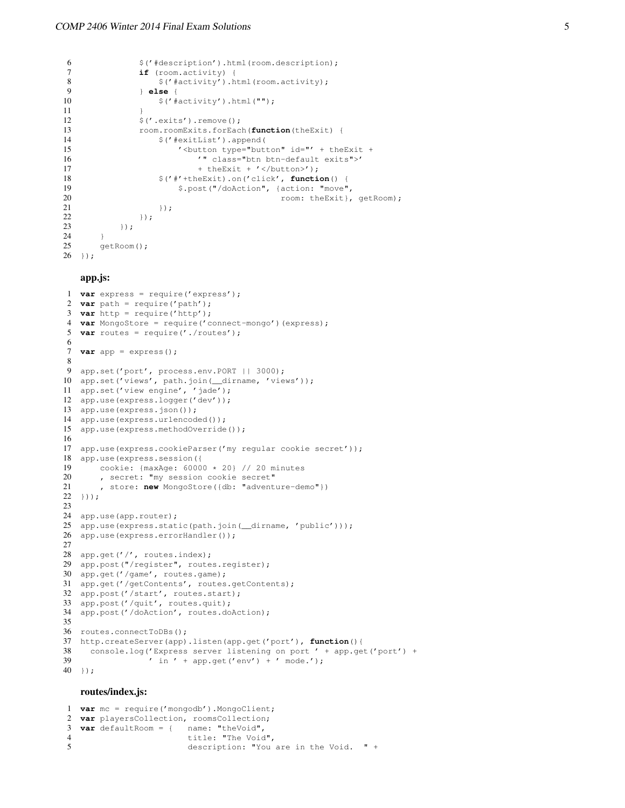```
6 $('#description').html(room.description);
 7 if (room.activity) {
 8 \frac{\S}{\S} \frac{\S}{\S} \frac{\S}{\S} \frac{\S}{\S} \frac{\S}{\S} \frac{\S}{\S} \frac{\S}{\S} \frac{\S}{\S} \frac{\S}{\S} \frac{\S}{\S} \frac{\S}{\S} \frac{\S}{\S} \frac{\S}{\S} \frac{\S}{\S} \frac{\S}{\S} \frac{\S}{\S} \frac{\S}{\S} \frac{\S}{\S} \frac{\S}{\S} \frac{\S}{\S}9 } else {
10 \frac{1}{1} \frac{1}{1} \frac{1}{1} \frac{1}{1} \frac{1}{1} \frac{1}{1} \frac{1}{1} \frac{1}{1} \frac{1}{1} \frac{1}{1} \frac{1}{1} \frac{1}{1} \frac{1}{1} \frac{1}{1} \frac{1}{1} \frac{1}{1} \frac{1}{1} \frac{1}{1} \frac{1}{1} \frac{1}{1} \frac{1}{1} \frac{1}{1}11 }
12 $('.exits').remove();
13 room.roomExits.forEach(function(theExit) {<br>
\frac{2}{3}('#exitList').append(
                             14 $('#exitList').append(
15 ' <button type="button" id="' + theExit +
16 '" class="btn btn-default exits">'
17 + theExit + '</button>');<br>18 \frac{1}{2} + theExit).on('click', functi
                              18 $('#'+theExit).on('click', function() {
19 $.post("/doAction", {action: "move",
20 room: theExit }, getRoom) ;
\begin{array}{ccc} 21 & & & \text{)}; \\ 22 & & & \text{)}; \end{array});
23 });
24 }
25 getRoom();
26 });
```
### app.js:

```
1 var express = require('express');
2 var path = require('path');
3 var http = require('http');
4 var MongoStore = require('connect-mongo')(express);
5 var routes = require('./routes');
6
7 var app = express();
8
9 app.set('port', process.env.PORT | | 3000);
10 app.set('views', path.join(__dirname, 'views'));
11 app.set('view engine', 'jade');
12 app.use(express.logger('dev'));
13 app.use(express.json());
14 app.use(express.urlencoded());
15 app.use(express.methodOverride());
16
17 app.use(express.cookieParser('my regular cookie secret'));
18 app.use(express.session({
19 cookie: \{\text{maxAge: } 60000 \times 20\} // 20 minutes<br>20 secret: "my session cookie secret"
       , secret: "my session cookie secret"
21 , store: new MongoStore({db: "adventure-demo"})
22 \quad 1) ):
23
24 app.use(app.router);
25 app.use(express.static(path.join( dirname, 'public')));
26 app.use(express.errorHandler());
27
28 app.get('/', routes.index);
29 app.post("/register", routes.register);
30 app.get('/game', routes.game);
31 app.get('/getContents', routes.getContents);
32 app.post('/start', routes.start);
33 app.post('/quit', routes.quit);
34 app.post('/doAction', routes.doAction);
35
36 routes.connectToDBs();
37 http.createServer(app).listen(app.get('port'), function(){
38 console.log('Express server listening on port ' + app.get('port') +
39 ' in ' + app.get('env') + ' mode.');
40 });
```
#### routes/index.js:

```
1 var mc = require('mongodb').MongoClient;
2 var playersCollection, roomsCollection;
3 var defaultRoom = { name: "theVoid",
4 title: "The Void",
5 description: "You are in the Void. " +
```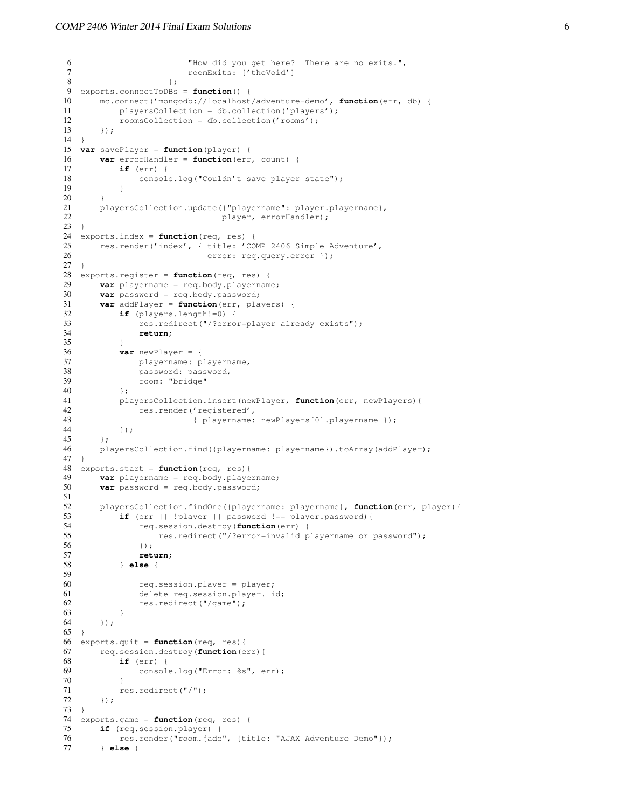```
6 "How did you get here? There are no exits.",
7 roomExits: ['theVoid']
 8 } } }
9 exports.connectToDBs = function() {
10 mc.connect('mongodb://localhost/adventure-demo', function(err, db) {<br>11 playersCollection = db.collection('players');
           plaversCollection = db<u>scollection('plavers');</u>
12 roomsCollection = db.collection('rooms');
13 \t\t\t \{\}14 \quad \}15 var savePlayer = function(player) {
16 var errorHandler = function(err, count) {
17 if (err) {
18 console.log("Couldn't save player state");
19 }
20 }
21 playersCollection.update({"playername": player.playername},<br>22 player.errorHandler):
                                 player, errorHandler);
23 }
24 exports.index = function(req, res) {
25 res.render('index', { title: 'COMP 2406 Simple Adventure',
26 error: req.query.error });
27 }
28 exports.register = function(req, res) {
29 var playername = req.body.playername;<br>30 var password = req.body.password;var password = req.body.password;
31 var addPlayer = \textbf{function}(\text{err}, \text{ players}) {<br>32 if (players length!=0) {
           if (players.length!=0) {
33 res.redirect("/?error=player already exists");
34 return;
35 }
36 var newPlayer = {
37 playername: playername,<br>38 password: password,
               password: password,
39 room: "bridge"
40 } ;
41 playersCollection.insert(newPlayer, function(err, newPlayers){
42 res.render('registered',<br>43 felayername:
                           43 { playername: newPlayers[0].playername });
44 });<br>45 };
       \};
46 playersCollection.find({playername: playername}).toArray(addPlayer);
47 }
48 exports.start = function(req, res){
49 var playername = req.body.playername;
50 var password = req.body.password;
51
52 playersCollection.findOne({playername: playername}, function(err, player){
53 if (err || !player || password !== player.password){
54 req.session.destroy(function(err) {
55 res.redirect("/?error=invalid playername or password");<br>56 \ldots56 });
57 return;
58 } else {
59
60 req.session.player = player;<br>61 delete req session player i
               delete req.session.player._id;
62 res.redirect("/game");
\begin{array}{cc} 63 & & & \rightarrow \\ 64 & & \rightarrow \rightarrow \rightarrow \end{array}64 });
65 }
66 exports.quit = function(req, res){<br>67 req.session.destroy(function(e
       67 req.session.destroy(function(err){
68 if (err) {
69 console.log("Error: %s", err);
70 }
71 res.redirect("/");<br>72 });
       72 });
73 }
74 exports.game = function(req, res) {
75 if (req.session.player) {
76 res.render("room.jade", {title: "AJAX Adventure Demo"});
77 } else {
```